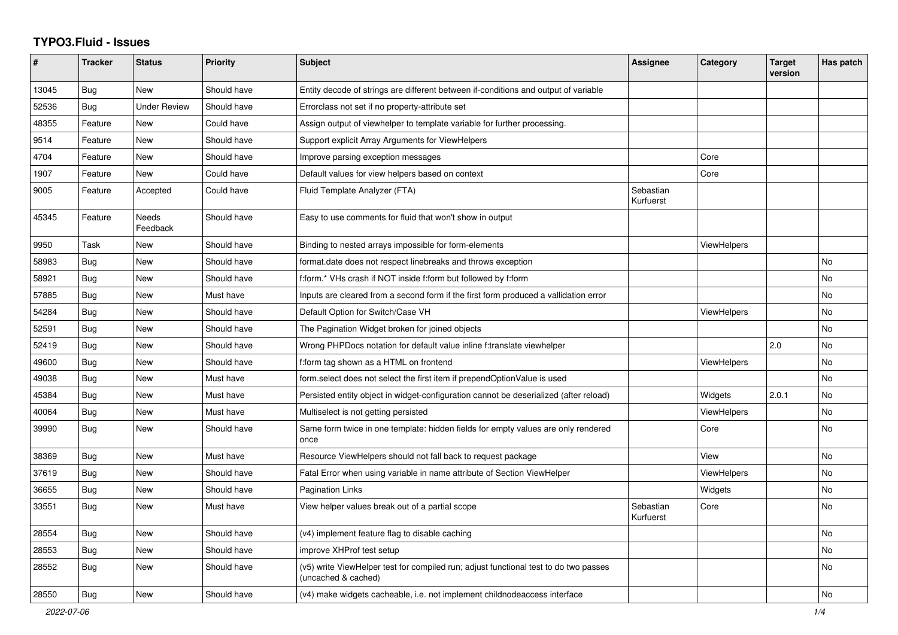## **TYPO3.Fluid - Issues**

| #     | <b>Tracker</b> | <b>Status</b>       | <b>Priority</b> | <b>Subject</b>                                                                                              | Assignee               | Category           | <b>Target</b><br>version | Has patch      |
|-------|----------------|---------------------|-----------------|-------------------------------------------------------------------------------------------------------------|------------------------|--------------------|--------------------------|----------------|
| 13045 | Bug            | <b>New</b>          | Should have     | Entity decode of strings are different between if-conditions and output of variable                         |                        |                    |                          |                |
| 52536 | Bug            | <b>Under Review</b> | Should have     | Errorclass not set if no property-attribute set                                                             |                        |                    |                          |                |
| 48355 | Feature        | New                 | Could have      | Assign output of viewhelper to template variable for further processing.                                    |                        |                    |                          |                |
| 9514  | Feature        | New                 | Should have     | Support explicit Array Arguments for ViewHelpers                                                            |                        |                    |                          |                |
| 4704  | Feature        | New                 | Should have     | Improve parsing exception messages                                                                          |                        | Core               |                          |                |
| 1907  | Feature        | New                 | Could have      | Default values for view helpers based on context                                                            |                        | Core               |                          |                |
| 9005  | Feature        | Accepted            | Could have      | Fluid Template Analyzer (FTA)                                                                               | Sebastian<br>Kurfuerst |                    |                          |                |
| 45345 | Feature        | Needs<br>Feedback   | Should have     | Easy to use comments for fluid that won't show in output                                                    |                        |                    |                          |                |
| 9950  | Task           | New                 | Should have     | Binding to nested arrays impossible for form-elements                                                       |                        | <b>ViewHelpers</b> |                          |                |
| 58983 | Bug            | New                 | Should have     | format.date does not respect linebreaks and throws exception                                                |                        |                    |                          | No             |
| 58921 | Bug            | New                 | Should have     | f:form.* VHs crash if NOT inside f:form but followed by f:form                                              |                        |                    |                          | No             |
| 57885 | Bug            | New                 | Must have       | Inputs are cleared from a second form if the first form produced a vallidation error                        |                        |                    |                          | No             |
| 54284 | <b>Bug</b>     | New                 | Should have     | Default Option for Switch/Case VH                                                                           |                        | <b>ViewHelpers</b> |                          | <b>No</b>      |
| 52591 | <b>Bug</b>     | New                 | Should have     | The Pagination Widget broken for joined objects                                                             |                        |                    |                          | <b>No</b>      |
| 52419 | Bug            | New                 | Should have     | Wrong PHPDocs notation for default value inline f:translate viewhelper                                      |                        |                    | 2.0                      | No             |
| 49600 | <b>Bug</b>     | New                 | Should have     | f:form tag shown as a HTML on frontend                                                                      |                        | ViewHelpers        |                          | <b>No</b>      |
| 49038 | <b>Bug</b>     | New                 | Must have       | form.select does not select the first item if prependOptionValue is used                                    |                        |                    |                          | No             |
| 45384 | Bug            | New                 | Must have       | Persisted entity object in widget-configuration cannot be deserialized (after reload)                       |                        | Widgets            | 2.0.1                    | No             |
| 40064 | Bug            | <b>New</b>          | Must have       | Multiselect is not getting persisted                                                                        |                        | <b>ViewHelpers</b> |                          | <b>No</b>      |
| 39990 | Bug            | <b>New</b>          | Should have     | Same form twice in one template: hidden fields for empty values are only rendered<br>once                   |                        | Core               |                          | N <sub>o</sub> |
| 38369 | <b>Bug</b>     | New                 | Must have       | Resource ViewHelpers should not fall back to request package                                                |                        | View               |                          | No             |
| 37619 | Bug            | <b>New</b>          | Should have     | Fatal Error when using variable in name attribute of Section ViewHelper                                     |                        | ViewHelpers        |                          | <b>No</b>      |
| 36655 | Bug            | New                 | Should have     | Pagination Links                                                                                            |                        | Widgets            |                          | No             |
| 33551 | Bug            | New                 | Must have       | View helper values break out of a partial scope                                                             | Sebastian<br>Kurfuerst | Core               |                          | No             |
| 28554 | <b>Bug</b>     | New                 | Should have     | (v4) implement feature flag to disable caching                                                              |                        |                    |                          | <b>No</b>      |
| 28553 | <b>Bug</b>     | New                 | Should have     | improve XHProf test setup                                                                                   |                        |                    |                          | No             |
| 28552 | Bug            | New                 | Should have     | (v5) write ViewHelper test for compiled run; adjust functional test to do two passes<br>(uncached & cached) |                        |                    |                          | No.            |
| 28550 | Bug            | <b>New</b>          | Should have     | (v4) make widgets cacheable, i.e. not implement childnodeaccess interface                                   |                        |                    |                          | <b>No</b>      |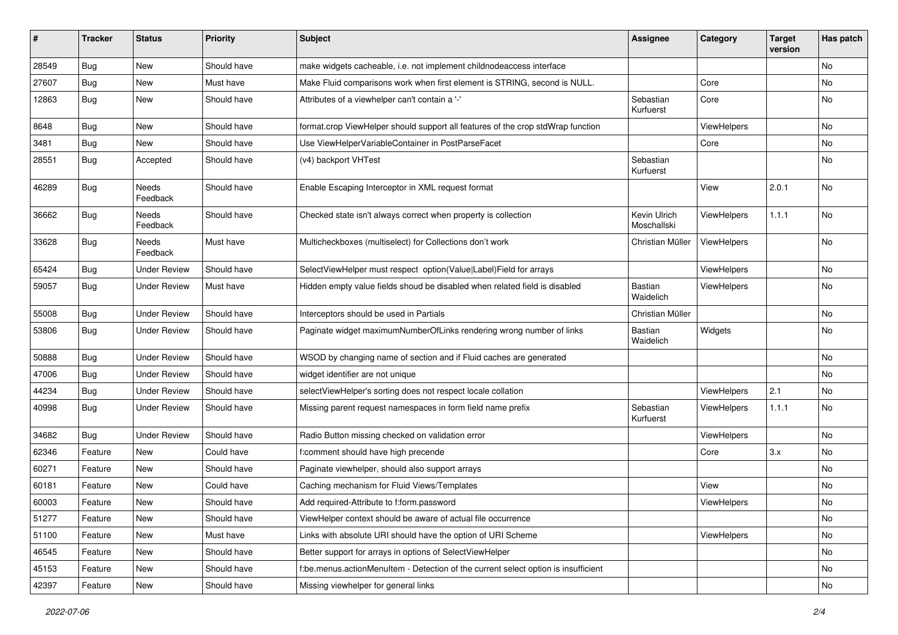| ∦     | <b>Tracker</b> | <b>Status</b>            | <b>Priority</b> | <b>Subject</b>                                                                     | <b>Assignee</b>             | Category           | <b>Target</b><br>version | Has patch |
|-------|----------------|--------------------------|-----------------|------------------------------------------------------------------------------------|-----------------------------|--------------------|--------------------------|-----------|
| 28549 | Bug            | New                      | Should have     | make widgets cacheable, i.e. not implement childnodeaccess interface               |                             |                    |                          | No        |
| 27607 | Bug            | New                      | Must have       | Make Fluid comparisons work when first element is STRING, second is NULL.          |                             | Core               |                          | No        |
| 12863 | Bug            | New                      | Should have     | Attributes of a viewhelper can't contain a '-'                                     | Sebastian<br>Kurfuerst      | Core               |                          | No        |
| 8648  | Bug            | <b>New</b>               | Should have     | format.crop ViewHelper should support all features of the crop stdWrap function    |                             | ViewHelpers        |                          | No.       |
| 3481  | Bug            | <b>New</b>               | Should have     | Use ViewHelperVariableContainer in PostParseFacet                                  |                             | Core               |                          | No        |
| 28551 | Bug            | Accepted                 | Should have     | (v4) backport VHTest                                                               | Sebastian<br>Kurfuerst      |                    |                          | No        |
| 46289 | Bug            | <b>Needs</b><br>Feedback | Should have     | Enable Escaping Interceptor in XML request format                                  |                             | View               | 2.0.1                    | No        |
| 36662 | Bug            | Needs<br>Feedback        | Should have     | Checked state isn't always correct when property is collection                     | Kevin Ulrich<br>Moschallski | ViewHelpers        | 1.1.1                    | <b>No</b> |
| 33628 | Bug            | Needs<br>Feedback        | Must have       | Multicheckboxes (multiselect) for Collections don't work                           | Christian Müller            | ViewHelpers        |                          | No        |
| 65424 | Bug            | <b>Under Review</b>      | Should have     | SelectViewHelper must respect option(Value Label)Field for arrays                  |                             | ViewHelpers        |                          | No        |
| 59057 | <b>Bug</b>     | <b>Under Review</b>      | Must have       | Hidden empty value fields shoud be disabled when related field is disabled         | Bastian<br>Waidelich        | ViewHelpers        |                          | No        |
| 55008 | Bug            | <b>Under Review</b>      | Should have     | Interceptors should be used in Partials                                            | Christian Müller            |                    |                          | No        |
| 53806 | Bug            | <b>Under Review</b>      | Should have     | Paginate widget maximumNumberOfLinks rendering wrong number of links               | <b>Bastian</b><br>Waidelich | Widgets            |                          | No        |
| 50888 | Bug            | <b>Under Review</b>      | Should have     | WSOD by changing name of section and if Fluid caches are generated                 |                             |                    |                          | No        |
| 47006 | Bug            | <b>Under Review</b>      | Should have     | widget identifier are not unique                                                   |                             |                    |                          | No        |
| 44234 | Bug            | <b>Under Review</b>      | Should have     | selectViewHelper's sorting does not respect locale collation                       |                             | ViewHelpers        | 2.1                      | No        |
| 40998 | Bug            | <b>Under Review</b>      | Should have     | Missing parent request namespaces in form field name prefix                        | Sebastian<br>Kurfuerst      | <b>ViewHelpers</b> | 1.1.1                    | No        |
| 34682 | Bug            | <b>Under Review</b>      | Should have     | Radio Button missing checked on validation error                                   |                             | ViewHelpers        |                          | <b>No</b> |
| 62346 | Feature        | New                      | Could have      | f:comment should have high precende                                                |                             | Core               | 3.x                      | No        |
| 60271 | Feature        | New                      | Should have     | Paginate viewhelper, should also support arrays                                    |                             |                    |                          | No        |
| 60181 | Feature        | New                      | Could have      | Caching mechanism for Fluid Views/Templates                                        |                             | View               |                          | No        |
| 60003 | Feature        | New                      | Should have     | Add required-Attribute to f:form.password                                          |                             | <b>ViewHelpers</b> |                          | No        |
| 51277 | Feature        | New                      | Should have     | ViewHelper context should be aware of actual file occurrence                       |                             |                    |                          | No        |
| 51100 | Feature        | New                      | Must have       | Links with absolute URI should have the option of URI Scheme                       |                             | ViewHelpers        |                          | No        |
| 46545 | Feature        | New                      | Should have     | Better support for arrays in options of SelectViewHelper                           |                             |                    |                          | No        |
| 45153 | Feature        | New                      | Should have     | f:be.menus.actionMenuItem - Detection of the current select option is insufficient |                             |                    |                          | No        |
| 42397 | Feature        | New                      | Should have     | Missing viewhelper for general links                                               |                             |                    |                          | No        |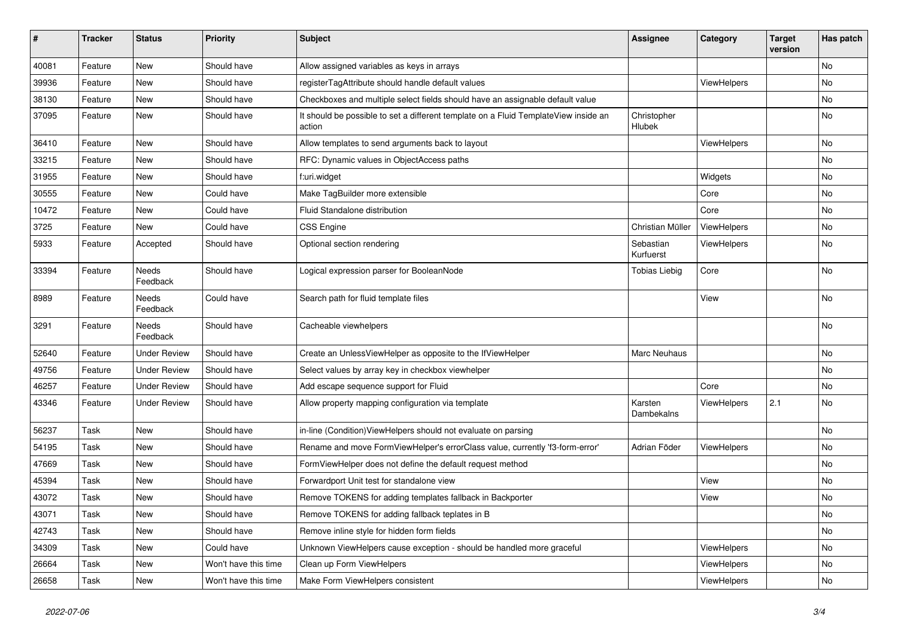| $\sharp$ | <b>Tracker</b> | <b>Status</b>       | <b>Priority</b>      | Subject                                                                                       | <b>Assignee</b>        | Category    | <b>Target</b><br>version | Has patch |
|----------|----------------|---------------------|----------------------|-----------------------------------------------------------------------------------------------|------------------------|-------------|--------------------------|-----------|
| 40081    | Feature        | New                 | Should have          | Allow assigned variables as keys in arrays                                                    |                        |             |                          | <b>No</b> |
| 39936    | Feature        | New                 | Should have          | registerTagAttribute should handle default values                                             |                        | ViewHelpers |                          | No        |
| 38130    | Feature        | <b>New</b>          | Should have          | Checkboxes and multiple select fields should have an assignable default value                 |                        |             |                          | No        |
| 37095    | Feature        | New                 | Should have          | It should be possible to set a different template on a Fluid TemplateView inside an<br>action | Christopher<br>Hlubek  |             |                          | No        |
| 36410    | Feature        | <b>New</b>          | Should have          | Allow templates to send arguments back to layout                                              |                        | ViewHelpers |                          | No        |
| 33215    | Feature        | New                 | Should have          | RFC: Dynamic values in ObjectAccess paths                                                     |                        |             |                          | No        |
| 31955    | Feature        | New                 | Should have          | f:uri.widget                                                                                  |                        | Widgets     |                          | No        |
| 30555    | Feature        | <b>New</b>          | Could have           | Make TagBuilder more extensible                                                               |                        | Core        |                          | No        |
| 10472    | Feature        | New                 | Could have           | Fluid Standalone distribution                                                                 |                        | Core        |                          | No        |
| 3725     | Feature        | New                 | Could have           | <b>CSS Engine</b>                                                                             | Christian Müller       | ViewHelpers |                          | <b>No</b> |
| 5933     | Feature        | Accepted            | Should have          | Optional section rendering                                                                    | Sebastian<br>Kurfuerst | ViewHelpers |                          | No        |
| 33394    | Feature        | Needs<br>Feedback   | Should have          | Logical expression parser for BooleanNode                                                     | <b>Tobias Liebig</b>   | Core        |                          | No        |
| 8989     | Feature        | Needs<br>Feedback   | Could have           | Search path for fluid template files                                                          |                        | View        |                          | No        |
| 3291     | Feature        | Needs<br>Feedback   | Should have          | Cacheable viewhelpers                                                                         |                        |             |                          | No        |
| 52640    | Feature        | <b>Under Review</b> | Should have          | Create an UnlessViewHelper as opposite to the IfViewHelper                                    | Marc Neuhaus           |             |                          | No        |
| 49756    | Feature        | <b>Under Review</b> | Should have          | Select values by array key in checkbox viewhelper                                             |                        |             |                          | No        |
| 46257    | Feature        | <b>Under Review</b> | Should have          | Add escape sequence support for Fluid                                                         |                        | Core        |                          | No        |
| 43346    | Feature        | Under Review        | Should have          | Allow property mapping configuration via template                                             | Karsten<br>Dambekalns  | ViewHelpers | 2.1                      | No        |
| 56237    | Task           | New                 | Should have          | in-line (Condition) ViewHelpers should not evaluate on parsing                                |                        |             |                          | No        |
| 54195    | Task           | New                 | Should have          | Rename and move FormViewHelper's errorClass value, currently 'f3-form-error'                  | Adrian Föder           | ViewHelpers |                          | No        |
| 47669    | Task           | New                 | Should have          | FormViewHelper does not define the default request method                                     |                        |             |                          | No        |
| 45394    | Task           | New                 | Should have          | Forwardport Unit test for standalone view                                                     |                        | View        |                          | No        |
| 43072    | Task           | New                 | Should have          | Remove TOKENS for adding templates fallback in Backporter                                     |                        | View        |                          | No        |
| 43071    | Task           | New                 | Should have          | Remove TOKENS for adding fallback teplates in B                                               |                        |             |                          | No        |
| 42743    | Task           | New                 | Should have          | Remove inline style for hidden form fields                                                    |                        |             |                          | No        |
| 34309    | Task           | New                 | Could have           | Unknown ViewHelpers cause exception - should be handled more graceful                         |                        | ViewHelpers |                          | No        |
| 26664    | Task           | New                 | Won't have this time | Clean up Form ViewHelpers                                                                     |                        | ViewHelpers |                          | No        |
| 26658    | Task           | New                 | Won't have this time | Make Form ViewHelpers consistent                                                              |                        | ViewHelpers |                          | No        |